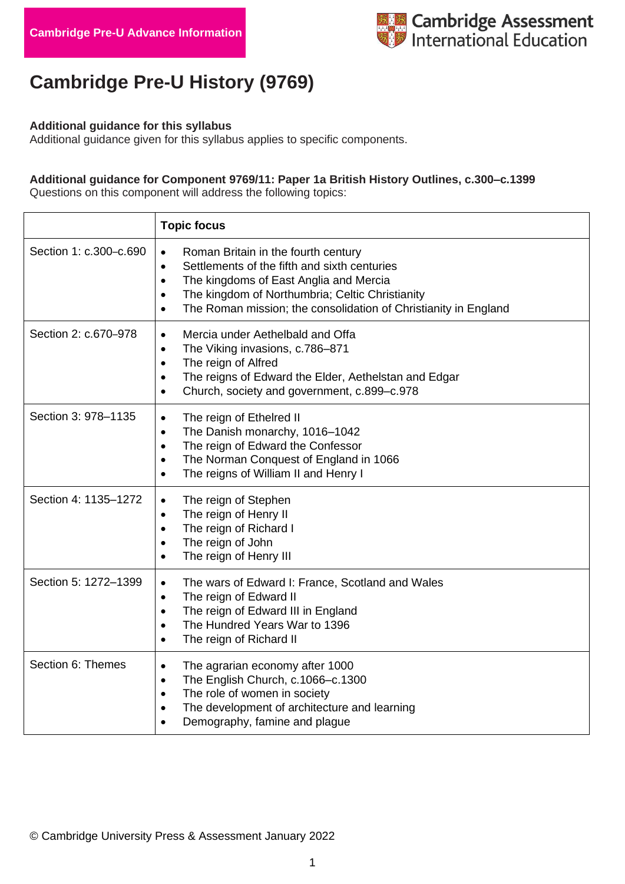

# **Cambridge Pre-U History (9769)**

#### **Additional guidance for this syllabus**

Additional guidance given for this syllabus applies to specific components.

#### **Additional guidance for Component 9769/11: Paper 1a British History Outlines, c.300–c.1399**

Questions on this component will address the following topics:

|                        | <b>Topic focus</b>                                                                                                                                                                                                                                                                                                   |
|------------------------|----------------------------------------------------------------------------------------------------------------------------------------------------------------------------------------------------------------------------------------------------------------------------------------------------------------------|
| Section 1: c.300-c.690 | Roman Britain in the fourth century<br>$\bullet$<br>Settlements of the fifth and sixth centuries<br>$\bullet$<br>The kingdoms of East Anglia and Mercia<br>$\bullet$<br>The kingdom of Northumbria; Celtic Christianity<br>$\bullet$<br>The Roman mission; the consolidation of Christianity in England<br>$\bullet$ |
| Section 2: c.670-978   | Mercia under Aethelbald and Offa<br>$\bullet$<br>The Viking invasions, c.786-871<br>$\bullet$<br>The reign of Alfred<br>$\bullet$<br>The reigns of Edward the Elder, Aethelstan and Edgar<br>$\bullet$<br>Church, society and government, c.899-c.978<br>$\bullet$                                                   |
| Section 3: 978-1135    | The reign of Ethelred II<br>$\bullet$<br>The Danish monarchy, 1016-1042<br>$\bullet$<br>The reign of Edward the Confessor<br>$\bullet$<br>The Norman Conquest of England in 1066<br>$\bullet$<br>The reigns of William II and Henry I<br>$\bullet$                                                                   |
| Section 4: 1135-1272   | The reign of Stephen<br>$\bullet$<br>The reign of Henry II<br>$\bullet$<br>The reign of Richard I<br>$\bullet$<br>The reign of John<br>$\bullet$<br>The reign of Henry III<br>$\bullet$                                                                                                                              |
| Section 5: 1272-1399   | The wars of Edward I: France, Scotland and Wales<br>$\bullet$<br>The reign of Edward II<br>$\bullet$<br>The reign of Edward III in England<br>$\bullet$<br>The Hundred Years War to 1396<br>$\bullet$<br>The reign of Richard II<br>$\bullet$                                                                        |
| Section 6: Themes      | The agrarian economy after 1000<br>$\bullet$<br>The English Church, c.1066-c.1300<br>$\bullet$<br>The role of women in society<br>$\bullet$<br>The development of architecture and learning<br>$\bullet$<br>Demography, famine and plague<br>$\bullet$                                                               |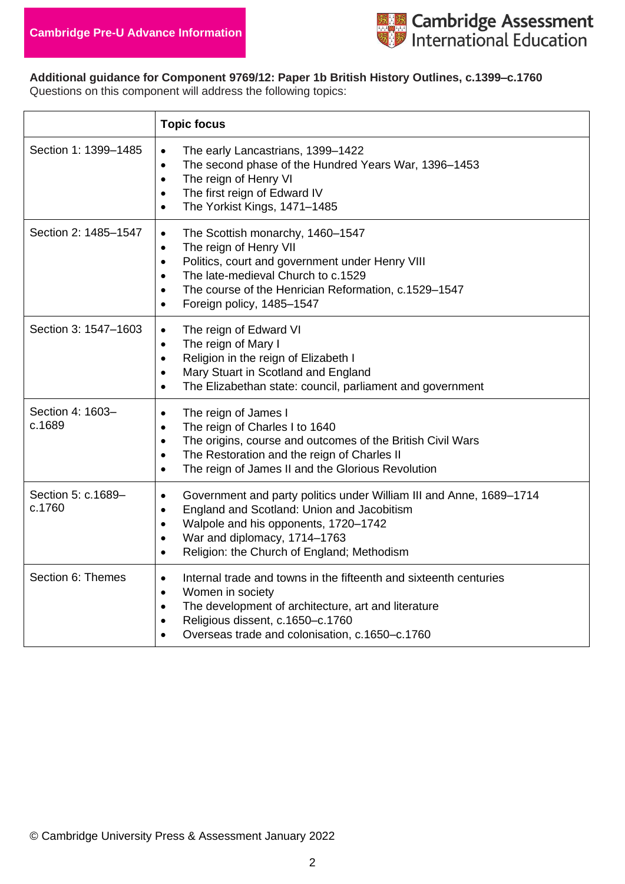

**Additional guidance for Component 9769/12: Paper 1b British History Outlines, c.1399–c.1760** Questions on this component will address the following topics:

|                              | <b>Topic focus</b>                                                                                                                                                                                                                                                                                                     |
|------------------------------|------------------------------------------------------------------------------------------------------------------------------------------------------------------------------------------------------------------------------------------------------------------------------------------------------------------------|
| Section 1: 1399-1485         | The early Lancastrians, 1399-1422<br>$\bullet$<br>The second phase of the Hundred Years War, 1396-1453<br>$\bullet$<br>The reign of Henry VI<br>$\bullet$<br>The first reign of Edward IV<br>$\bullet$<br>The Yorkist Kings, 1471-1485<br>$\bullet$                                                                    |
| Section 2: 1485-1547         | The Scottish monarchy, 1460-1547<br>$\bullet$<br>The reign of Henry VII<br>$\bullet$<br>Politics, court and government under Henry VIII<br>$\bullet$<br>The late-medieval Church to c.1529<br>$\bullet$<br>The course of the Henrician Reformation, c.1529-1547<br>$\bullet$<br>Foreign policy, 1485-1547<br>$\bullet$ |
| Section 3: 1547-1603         | The reign of Edward VI<br>$\bullet$<br>The reign of Mary I<br>$\bullet$<br>Religion in the reign of Elizabeth I<br>$\bullet$<br>Mary Stuart in Scotland and England<br>$\bullet$<br>The Elizabethan state: council, parliament and government<br>$\bullet$                                                             |
| Section 4: 1603-<br>c.1689   | The reign of James I<br>$\bullet$<br>The reign of Charles I to 1640<br>$\bullet$<br>The origins, course and outcomes of the British Civil Wars<br>$\bullet$<br>The Restoration and the reign of Charles II<br>$\bullet$<br>The reign of James II and the Glorious Revolution<br>$\bullet$                              |
| Section 5: c.1689-<br>c.1760 | Government and party politics under William III and Anne, 1689-1714<br>$\bullet$<br>England and Scotland: Union and Jacobitism<br>$\bullet$<br>Walpole and his opponents, 1720-1742<br>$\bullet$<br>War and diplomacy, 1714-1763<br>$\bullet$<br>Religion: the Church of England; Methodism<br>$\bullet$               |
| Section 6: Themes            | Internal trade and towns in the fifteenth and sixteenth centuries<br>$\bullet$<br>Women in society<br>$\bullet$<br>The development of architecture, art and literature<br>$\bullet$<br>Religious dissent, c.1650-c.1760<br>$\bullet$<br>Overseas trade and colonisation, c.1650-c.1760<br>$\bullet$                    |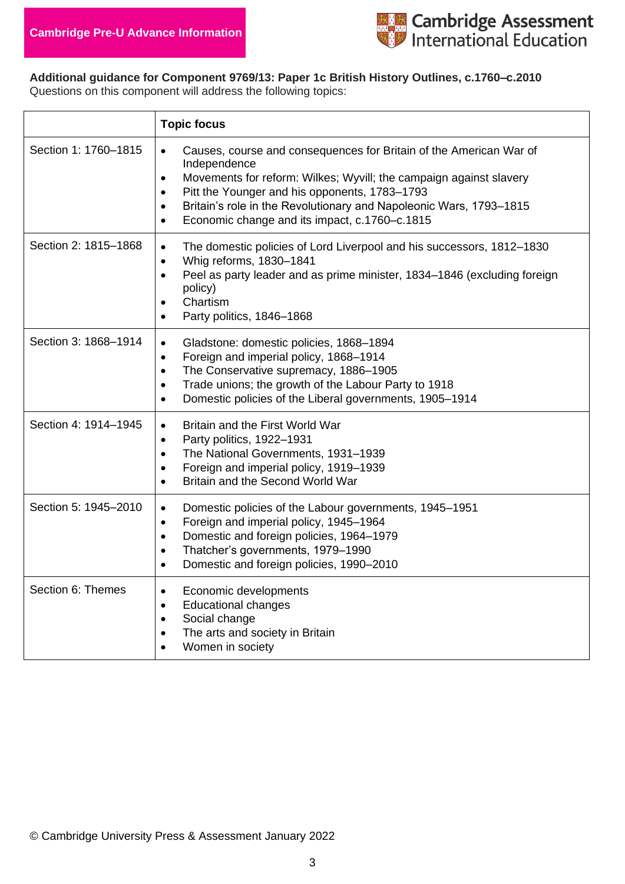

**Additional guidance for Component 9769/13: Paper 1c British History Outlines, c.1760–c.2010** Questions on this component will address the following topics:

|                      | <b>Topic focus</b>                                                                                                                                                                                                                                                                                                                                                                                |
|----------------------|---------------------------------------------------------------------------------------------------------------------------------------------------------------------------------------------------------------------------------------------------------------------------------------------------------------------------------------------------------------------------------------------------|
| Section 1: 1760-1815 | Causes, course and consequences for Britain of the American War of<br>$\bullet$<br>Independence<br>Movements for reform: Wilkes; Wyvill; the campaign against slavery<br>$\bullet$<br>Pitt the Younger and his opponents, 1783-1793<br>$\bullet$<br>Britain's role in the Revolutionary and Napoleonic Wars, 1793-1815<br>$\bullet$<br>Economic change and its impact, c.1760-c.1815<br>$\bullet$ |
| Section 2: 1815-1868 | The domestic policies of Lord Liverpool and his successors, 1812-1830<br>$\bullet$<br>Whig reforms, 1830-1841<br>$\bullet$<br>Peel as party leader and as prime minister, 1834-1846 (excluding foreign<br>$\bullet$<br>policy)<br>Chartism<br>$\bullet$<br>Party politics, 1846-1868<br>$\bullet$                                                                                                 |
| Section 3: 1868-1914 | Gladstone: domestic policies, 1868-1894<br>$\bullet$<br>Foreign and imperial policy, 1868-1914<br>$\bullet$<br>The Conservative supremacy, 1886-1905<br>$\bullet$<br>Trade unions; the growth of the Labour Party to 1918<br>$\bullet$<br>Domestic policies of the Liberal governments, 1905-1914<br>$\bullet$                                                                                    |
| Section 4: 1914-1945 | Britain and the First World War<br>$\bullet$<br>Party politics, 1922-1931<br>$\bullet$<br>The National Governments, 1931-1939<br>$\bullet$<br>Foreign and imperial policy, 1919-1939<br>$\bullet$<br>Britain and the Second World War<br>$\bullet$                                                                                                                                                |
| Section 5: 1945-2010 | Domestic policies of the Labour governments, 1945-1951<br>$\bullet$<br>Foreign and imperial policy, 1945-1964<br>$\bullet$<br>Domestic and foreign policies, 1964-1979<br>$\bullet$<br>Thatcher's governments, 1979-1990<br>$\bullet$<br>Domestic and foreign policies, 1990-2010<br>$\bullet$                                                                                                    |
| Section 6: Themes    | Economic developments<br>$\bullet$<br><b>Educational changes</b><br>$\bullet$<br>Social change<br>$\bullet$<br>The arts and society in Britain<br>$\bullet$<br>Women in society<br>$\bullet$                                                                                                                                                                                                      |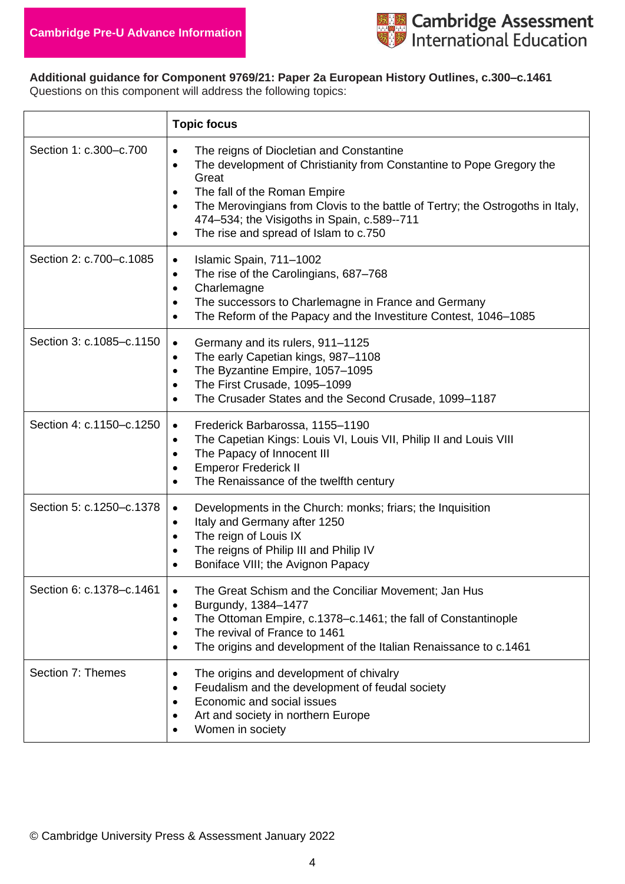

**Additional guidance for Component 9769/21: Paper 2a European History Outlines, c.300–c.1461** Questions on this component will address the following topics:

|                          | <b>Topic focus</b>                                                                                                                                                                                                                                                                                                                                                                                   |
|--------------------------|------------------------------------------------------------------------------------------------------------------------------------------------------------------------------------------------------------------------------------------------------------------------------------------------------------------------------------------------------------------------------------------------------|
| Section 1: c.300-c.700   | The reigns of Diocletian and Constantine<br>$\bullet$<br>The development of Christianity from Constantine to Pope Gregory the<br>$\bullet$<br>Great<br>The fall of the Roman Empire<br>$\bullet$<br>The Merovingians from Clovis to the battle of Tertry; the Ostrogoths in Italy,<br>$\bullet$<br>474-534; the Visigoths in Spain, c.589--711<br>The rise and spread of Islam to c.750<br>$\bullet$ |
| Section 2: c.700-c.1085  | Islamic Spain, 711-1002<br>$\bullet$<br>The rise of the Carolingians, 687-768<br>$\bullet$<br>Charlemagne<br>$\bullet$<br>The successors to Charlemagne in France and Germany<br>$\bullet$<br>The Reform of the Papacy and the Investiture Contest, 1046-1085<br>٠                                                                                                                                   |
| Section 3: c.1085-c.1150 | Germany and its rulers, 911-1125<br>$\bullet$<br>The early Capetian kings, 987-1108<br>٠<br>The Byzantine Empire, 1057-1095<br>$\bullet$<br>The First Crusade, 1095-1099<br>$\bullet$<br>The Crusader States and the Second Crusade, 1099-1187<br>$\bullet$                                                                                                                                          |
| Section 4: c.1150-c.1250 | Frederick Barbarossa, 1155-1190<br>$\bullet$<br>The Capetian Kings: Louis VI, Louis VII, Philip II and Louis VIII<br>$\bullet$<br>The Papacy of Innocent III<br>$\bullet$<br><b>Emperor Frederick II</b><br>$\bullet$<br>The Renaissance of the twelfth century<br>٠                                                                                                                                 |
| Section 5: c.1250-c.1378 | Developments in the Church: monks; friars; the Inquisition<br>$\bullet$<br>Italy and Germany after 1250<br>$\bullet$<br>The reign of Louis IX<br>$\bullet$<br>The reigns of Philip III and Philip IV<br>$\bullet$<br>Boniface VIII; the Avignon Papacy<br>$\bullet$                                                                                                                                  |
| Section 6: c.1378-c.1461 | The Great Schism and the Conciliar Movement; Jan Hus<br>$\bullet$<br>Burgundy, 1384-1477<br>$\bullet$<br>The Ottoman Empire, c.1378-c.1461; the fall of Constantinople<br>$\bullet$<br>The revival of France to 1461<br>$\bullet$<br>The origins and development of the Italian Renaissance to c.1461<br>$\bullet$                                                                                   |
| Section 7: Themes        | The origins and development of chivalry<br>٠<br>Feudalism and the development of feudal society<br>$\bullet$<br>Economic and social issues<br>٠<br>Art and society in northern Europe<br>Women in society                                                                                                                                                                                            |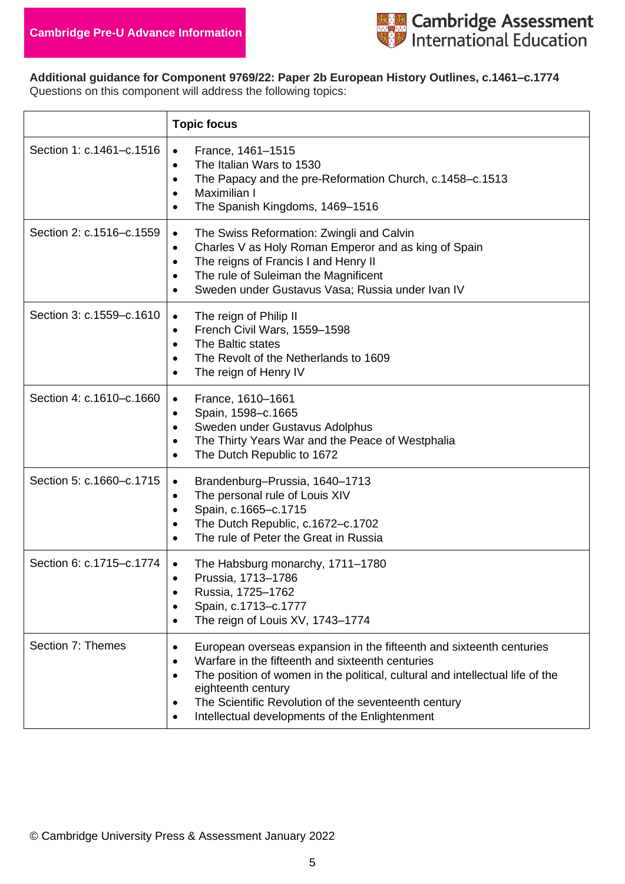

**Additional guidance for Component 9769/22: Paper 2b European History Outlines, c.1461–c.1774** Questions on this component will address the following topics:

|                          | <b>Topic focus</b>                                                                                                                                                                                                                                                                                                                                                               |
|--------------------------|----------------------------------------------------------------------------------------------------------------------------------------------------------------------------------------------------------------------------------------------------------------------------------------------------------------------------------------------------------------------------------|
| Section 1: c.1461-c.1516 | France, 1461-1515<br>$\bullet$<br>The Italian Wars to 1530<br>$\bullet$<br>The Papacy and the pre-Reformation Church, c.1458–c.1513<br>$\bullet$<br>Maximilian I<br>$\bullet$<br>The Spanish Kingdoms, 1469-1516<br>$\bullet$                                                                                                                                                    |
| Section 2: c.1516-c.1559 | The Swiss Reformation: Zwingli and Calvin<br>$\bullet$<br>Charles V as Holy Roman Emperor and as king of Spain<br>$\bullet$<br>The reigns of Francis I and Henry II<br>$\bullet$<br>The rule of Suleiman the Magnificent<br>$\bullet$<br>Sweden under Gustavus Vasa; Russia under Ivan IV<br>$\bullet$                                                                           |
| Section 3: c.1559-c.1610 | The reign of Philip II<br>$\bullet$<br>French Civil Wars, 1559-1598<br>$\bullet$<br>The Baltic states<br>$\bullet$<br>The Revolt of the Netherlands to 1609<br>$\bullet$<br>The reign of Henry IV<br>$\bullet$                                                                                                                                                                   |
| Section 4: c.1610-c.1660 | France, 1610-1661<br>$\bullet$<br>Spain, 1598-c.1665<br>$\bullet$<br>Sweden under Gustavus Adolphus<br>$\bullet$<br>The Thirty Years War and the Peace of Westphalia<br>$\bullet$<br>The Dutch Republic to 1672<br>$\bullet$                                                                                                                                                     |
| Section 5: c.1660-c.1715 | Brandenburg-Prussia, 1640-1713<br>$\bullet$<br>The personal rule of Louis XIV<br>٠<br>Spain, c.1665-c.1715<br>$\bullet$<br>The Dutch Republic, c.1672-c.1702<br>$\bullet$<br>The rule of Peter the Great in Russia                                                                                                                                                               |
| Section 6: c.1715-c.1774 | The Habsburg monarchy, 1711-1780<br>$\bullet$<br>Prussia, 1713-1786<br>٠<br>Russia, 1725-1762<br>٠<br>Spain, c.1713-c.1777<br>٠<br>The reign of Louis XV, 1743-1774<br>$\bullet$                                                                                                                                                                                                 |
| Section 7: Themes        | European overseas expansion in the fifteenth and sixteenth centuries<br>$\bullet$<br>Warfare in the fifteenth and sixteenth centuries<br>$\bullet$<br>The position of women in the political, cultural and intellectual life of the<br>$\bullet$<br>eighteenth century<br>The Scientific Revolution of the seventeenth century<br>Intellectual developments of the Enlightenment |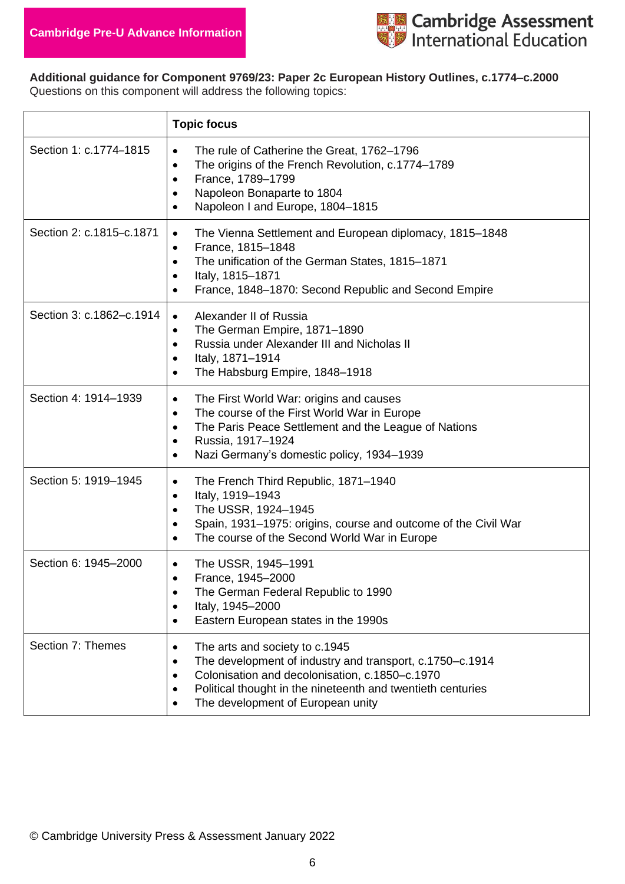

**Additional guidance for Component 9769/23: Paper 2c European History Outlines, c.1774–c.2000** Questions on this component will address the following topics:

|                          | <b>Topic focus</b>                                                                                                                                                                                                                                                   |
|--------------------------|----------------------------------------------------------------------------------------------------------------------------------------------------------------------------------------------------------------------------------------------------------------------|
| Section 1: c.1774-1815   | The rule of Catherine the Great, 1762-1796<br>$\bullet$<br>The origins of the French Revolution, c.1774-1789<br>$\bullet$<br>France, 1789-1799<br>$\bullet$<br>Napoleon Bonaparte to 1804<br>٠<br>Napoleon I and Europe, 1804-1815<br>$\bullet$                      |
| Section 2: c.1815-c.1871 | The Vienna Settlement and European diplomacy, 1815-1848<br>$\bullet$<br>France, 1815-1848<br>$\bullet$<br>The unification of the German States, 1815-1871<br>$\bullet$<br>Italy, 1815-1871<br>$\bullet$<br>France, 1848-1870: Second Republic and Second Empire<br>٠ |
| Section 3: c.1862-c.1914 | Alexander II of Russia<br>$\bullet$<br>The German Empire, 1871-1890<br>٠<br>Russia under Alexander III and Nicholas II<br>$\bullet$<br>Italy, 1871-1914<br>$\bullet$<br>The Habsburg Empire, 1848-1918<br>$\bullet$                                                  |
| Section 4: 1914-1939     | The First World War: origins and causes<br>٠<br>The course of the First World War in Europe<br>$\bullet$<br>The Paris Peace Settlement and the League of Nations<br>$\bullet$<br>Russia, 1917-1924<br>$\bullet$<br>Nazi Germany's domestic policy, 1934-1939<br>٠    |
| Section 5: 1919-1945     | The French Third Republic, 1871-1940<br>٠<br>Italy, 1919-1943<br>٠<br>The USSR, 1924-1945<br>$\bullet$<br>Spain, 1931-1975: origins, course and outcome of the Civil War<br>٠<br>The course of the Second World War in Europe<br>٠                                   |
| Section 6: 1945-2000     | The USSR, 1945-1991<br>٠<br>France, 1945-2000<br>٠<br>The German Federal Republic to 1990<br>$\bullet$<br>Italy, 1945-2000<br>$\bullet$<br>Eastern European states in the 1990s<br>٠                                                                                 |
| Section 7: Themes        | The arts and society to c.1945<br>٠<br>The development of industry and transport, c.1750–c.1914<br>٠<br>Colonisation and decolonisation, c.1850-c.1970<br>٠<br>Political thought in the nineteenth and twentieth centuries<br>The development of European unity      |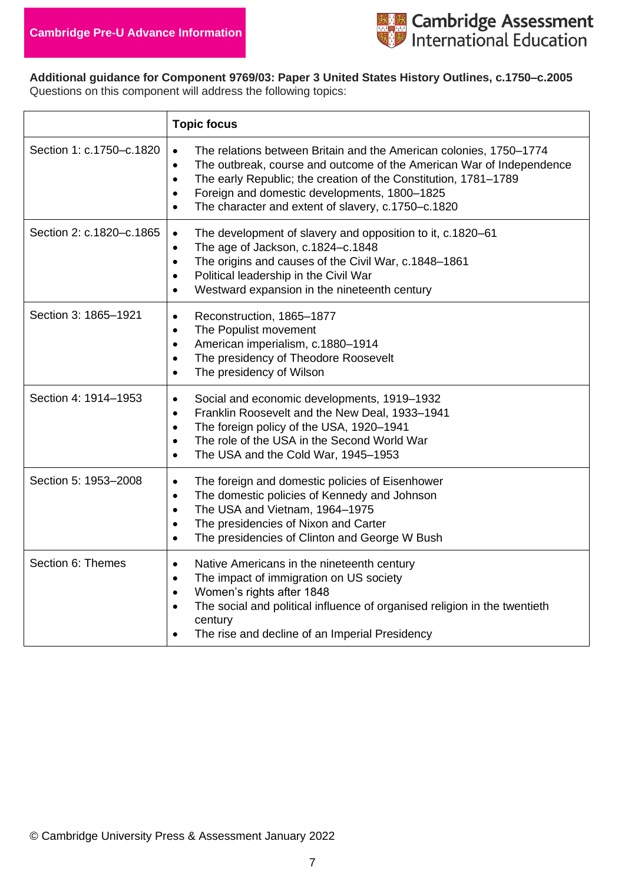

**Additional guidance for Component 9769/03: Paper 3 United States History Outlines, c.1750–c.2005** Questions on this component will address the following topics:

|                          | <b>Topic focus</b>                                                                                                                                                                                                                                                                                                                                                                   |
|--------------------------|--------------------------------------------------------------------------------------------------------------------------------------------------------------------------------------------------------------------------------------------------------------------------------------------------------------------------------------------------------------------------------------|
| Section 1: c.1750-c.1820 | The relations between Britain and the American colonies, 1750–1774<br>$\bullet$<br>The outbreak, course and outcome of the American War of Independence<br>$\bullet$<br>The early Republic; the creation of the Constitution, 1781-1789<br>$\bullet$<br>Foreign and domestic developments, 1800-1825<br>$\bullet$<br>The character and extent of slavery, c.1750-c.1820<br>$\bullet$ |
| Section 2: c.1820-c.1865 | The development of slavery and opposition to it, c.1820-61<br>$\bullet$<br>The age of Jackson, c.1824-c.1848<br>$\bullet$<br>The origins and causes of the Civil War, c.1848-1861<br>$\bullet$<br>Political leadership in the Civil War<br>$\bullet$<br>Westward expansion in the nineteenth century<br>$\bullet$                                                                    |
| Section 3: 1865-1921     | Reconstruction, 1865-1877<br>$\bullet$<br>The Populist movement<br>$\bullet$<br>American imperialism, c.1880-1914<br>$\bullet$<br>The presidency of Theodore Roosevelt<br>$\bullet$<br>The presidency of Wilson<br>$\bullet$                                                                                                                                                         |
| Section 4: 1914-1953     | Social and economic developments, 1919–1932<br>$\bullet$<br>Franklin Roosevelt and the New Deal, 1933-1941<br>$\bullet$<br>The foreign policy of the USA, 1920-1941<br>$\bullet$<br>The role of the USA in the Second World War<br>$\bullet$<br>The USA and the Cold War, 1945-1953<br>$\bullet$                                                                                     |
| Section 5: 1953-2008     | The foreign and domestic policies of Eisenhower<br>$\bullet$<br>The domestic policies of Kennedy and Johnson<br>$\bullet$<br>The USA and Vietnam, 1964-1975<br>$\bullet$<br>The presidencies of Nixon and Carter<br>$\bullet$<br>The presidencies of Clinton and George W Bush<br>$\bullet$                                                                                          |
| Section 6: Themes        | Native Americans in the nineteenth century<br>$\bullet$<br>The impact of immigration on US society<br>$\bullet$<br>Women's rights after 1848<br>$\bullet$<br>The social and political influence of organised religion in the twentieth<br>$\bullet$<br>century<br>The rise and decline of an Imperial Presidency<br>$\bullet$                                                        |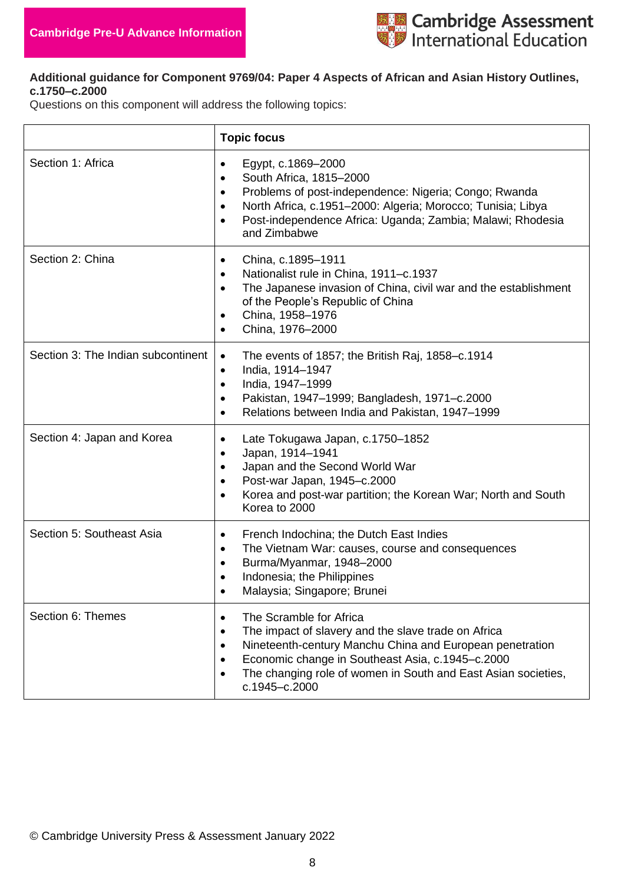

#### **Additional guidance for Component 9769/04: Paper 4 Aspects of African and Asian History Outlines, c.1750–c.2000**

Questions on this component will address the following topics:

|                                    | <b>Topic focus</b>                                                                                                                                                                                                                                                                                                   |
|------------------------------------|----------------------------------------------------------------------------------------------------------------------------------------------------------------------------------------------------------------------------------------------------------------------------------------------------------------------|
| Section 1: Africa                  | Egypt, c.1869-2000<br>$\bullet$<br>South Africa, 1815-2000<br>$\bullet$<br>Problems of post-independence: Nigeria; Congo; Rwanda<br>$\bullet$<br>North Africa, c.1951-2000: Algeria; Morocco; Tunisia; Libya<br>$\bullet$<br>Post-independence Africa: Uganda; Zambia; Malawi; Rhodesia<br>$\bullet$<br>and Zimbabwe |
| Section 2: China                   | China, c.1895-1911<br>$\bullet$<br>Nationalist rule in China, 1911-c.1937<br>$\bullet$<br>The Japanese invasion of China, civil war and the establishment<br>$\bullet$<br>of the People's Republic of China<br>China, 1958-1976<br>China, 1976-2000<br>$\bullet$                                                     |
| Section 3: The Indian subcontinent | The events of 1857; the British Raj, 1858–c.1914<br>$\bullet$<br>India, 1914-1947<br>$\bullet$<br>India, 1947-1999<br>$\bullet$<br>Pakistan, 1947-1999; Bangladesh, 1971-c.2000<br>٠<br>Relations between India and Pakistan, 1947-1999                                                                              |
| Section 4: Japan and Korea         | Late Tokugawa Japan, c.1750-1852<br>٠<br>Japan, 1914-1941<br>٠<br>Japan and the Second World War<br>$\bullet$<br>Post-war Japan, 1945-c.2000<br>$\bullet$<br>Korea and post-war partition; the Korean War; North and South<br>٠<br>Korea to 2000                                                                     |
| Section 5: Southeast Asia          | French Indochina; the Dutch East Indies<br>$\bullet$<br>The Vietnam War: causes, course and consequences<br>٠<br>Burma/Myanmar, 1948-2000<br>$\bullet$<br>Indonesia; the Philippines<br>Malaysia; Singapore; Brunei                                                                                                  |
| Section 6: Themes                  | The Scramble for Africa<br>$\bullet$<br>The impact of slavery and the slave trade on Africa<br>٠<br>Nineteenth-century Manchu China and European penetration<br>$\bullet$<br>Economic change in Southeast Asia, c.1945-c.2000<br>٠<br>The changing role of women in South and East Asian societies,<br>c.1945-c.2000 |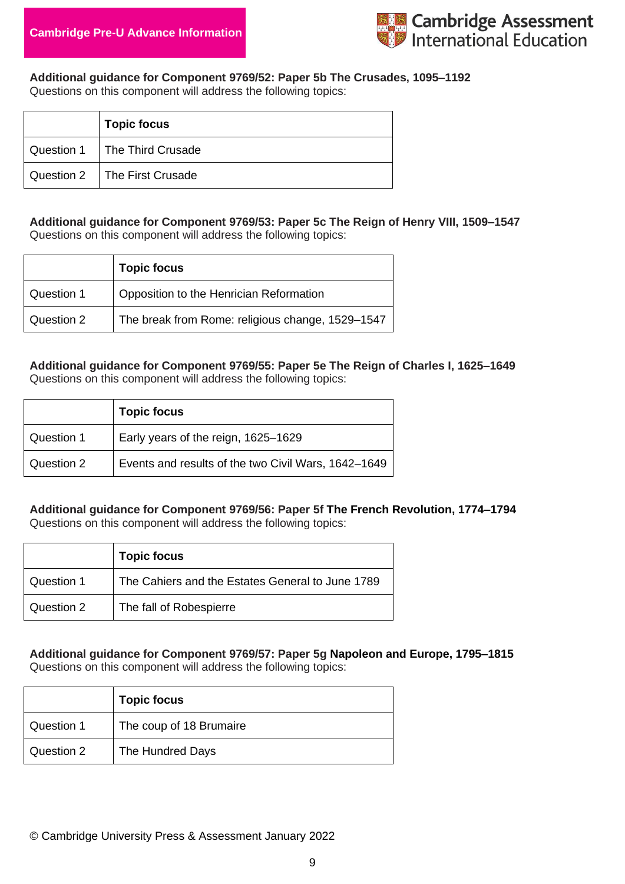

**Additional guidance for Component 9769/52: Paper 5b The Crusades, 1095–1192** Questions on this component will address the following topics:

| <b>Topic focus</b>             |
|--------------------------------|
| Question 1   The Third Crusade |
| Question 2   The First Crusade |

#### **Additional guidance for Component 9769/53: Paper 5c The Reign of Henry VIII, 1509–1547** Questions on this component will address the following topics:

|            | <b>Topic focus</b>                               |
|------------|--------------------------------------------------|
| Question 1 | Opposition to the Henrician Reformation          |
| Question 2 | The break from Rome: religious change, 1529-1547 |

## **Additional guidance for Component 9769/55: Paper 5e The Reign of Charles I, 1625–1649**

Questions on this component will address the following topics:

|            | <b>Topic focus</b>                                  |
|------------|-----------------------------------------------------|
| Question 1 | Early years of the reign, 1625–1629                 |
| Question 2 | Events and results of the two Civil Wars, 1642-1649 |

#### **Additional guidance for Component 9769/56: Paper 5f The French Revolution, 1774–1794** Questions on this component will address the following topics:

|            | <b>Topic focus</b>                               |
|------------|--------------------------------------------------|
| Question 1 | The Cahiers and the Estates General to June 1789 |
| Question 2 | The fall of Robespierre                          |

**Additional guidance for Component 9769/57: Paper 5g Napoleon and Europe, 1795–1815** Questions on this component will address the following topics:

|            | <b>Topic focus</b>      |
|------------|-------------------------|
| Question 1 | The coup of 18 Brumaire |
| Question 2 | The Hundred Days        |